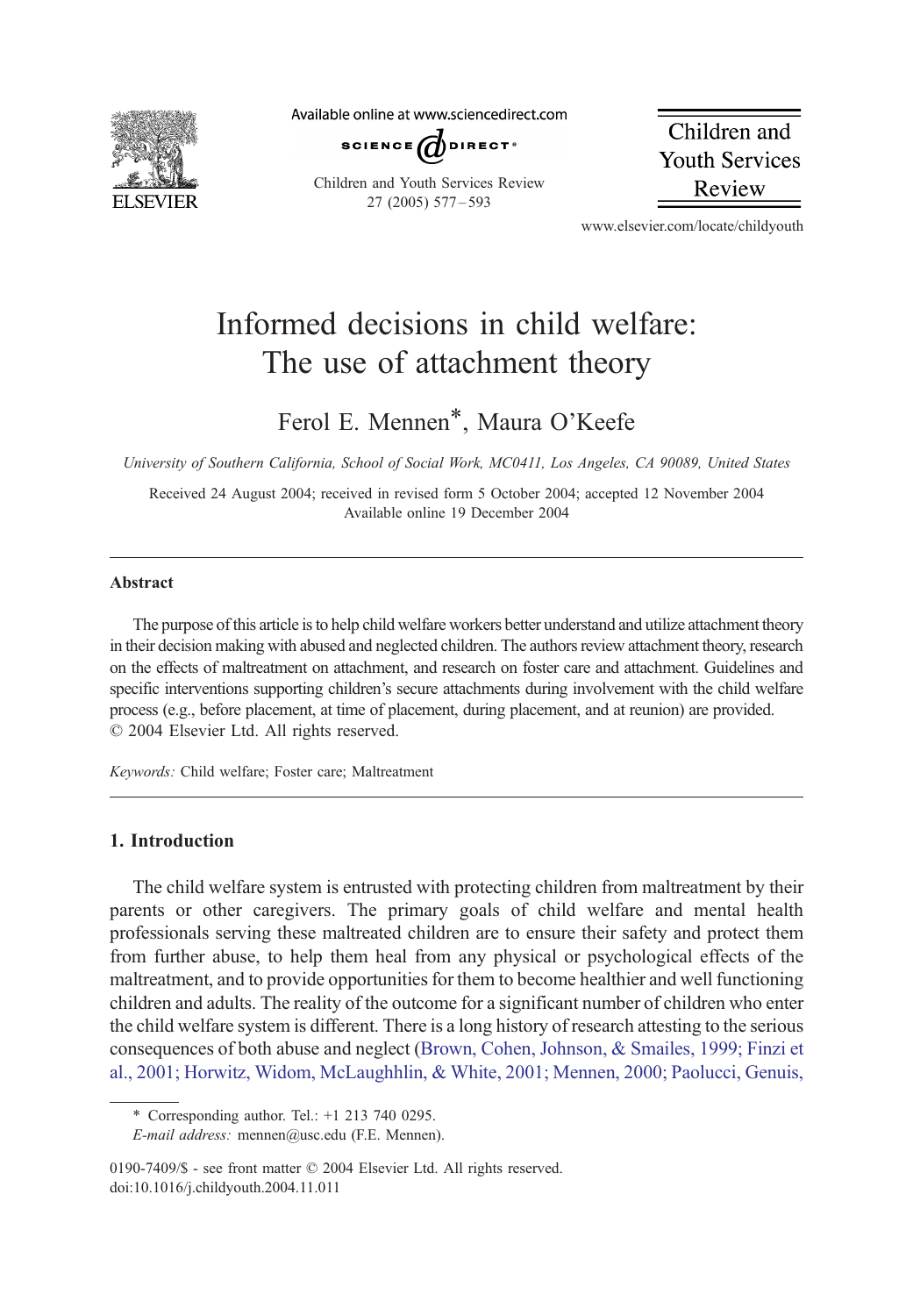

Available online at www.sciencedirect.com



Children and Youth Services Review 27 (2005) 577 – 593

Children and **Youth Services** Review

www.elsevier.com/locate/childyouth

## Informed decisions in child welfare: The use of attachment theory

Ferol E. Mennen\*, Maura O'Keefe

University of Southern California, School of Social Work, MC0411, Los Angeles, CA 90089, United States

Received 24 August 2004; received in revised form 5 October 2004; accepted 12 November 2004 Available online 19 December 2004

## Abstract

The purpose of this article is to help child welfare workers better understand and utilize attachment theory in their decision making with abused and neglected children. The authors review attachment theory, research on the effects of maltreatment on attachment, and research on foster care and attachment. Guidelines and specific interventions supporting children's secure attachments during involvement with the child welfare process (e.g., before placement, at time of placement, during placement, and at reunion) are provided.  $© 2004 Elsevier Ltd. All rights reserved.$ 

Keywords: Child welfare; Foster care; Maltreatment

## 1. Introduction

The child welfare system is entrusted with protecting children from maltreatment by their parents or other caregivers. The primary goals of child welfare and mental health professionals serving these maltreated children are to ensure their safety and protect them from further abuse, to help them heal from any physical or psychological effects of the maltreatment, and to provide opportunities for them to become healthier and well functioning children and adults. The reality of the outcome for a significant number of children who enter the child welfare system is different. There is a long history of research attesting to the serious consequences of both abuse and neglect ([Brown, Cohen, Johnson, & Smailes, 1999; Finzi et](#page--1-0) al., 2001; Horwitz, Widom, McLaughhlin, & White, 2001; Mennen, 2000; Paolucci, Genuis,

<sup>\*</sup> Corresponding author. Tel.: +1 213 740 0295.

E-mail address: mennen@usc.edu (F.E. Mennen).

<sup>0190-7409/\$ -</sup> see front matter © 2004 Elsevier Ltd. All rights reserved. doi:10.1016/j.childyouth.2004.11.011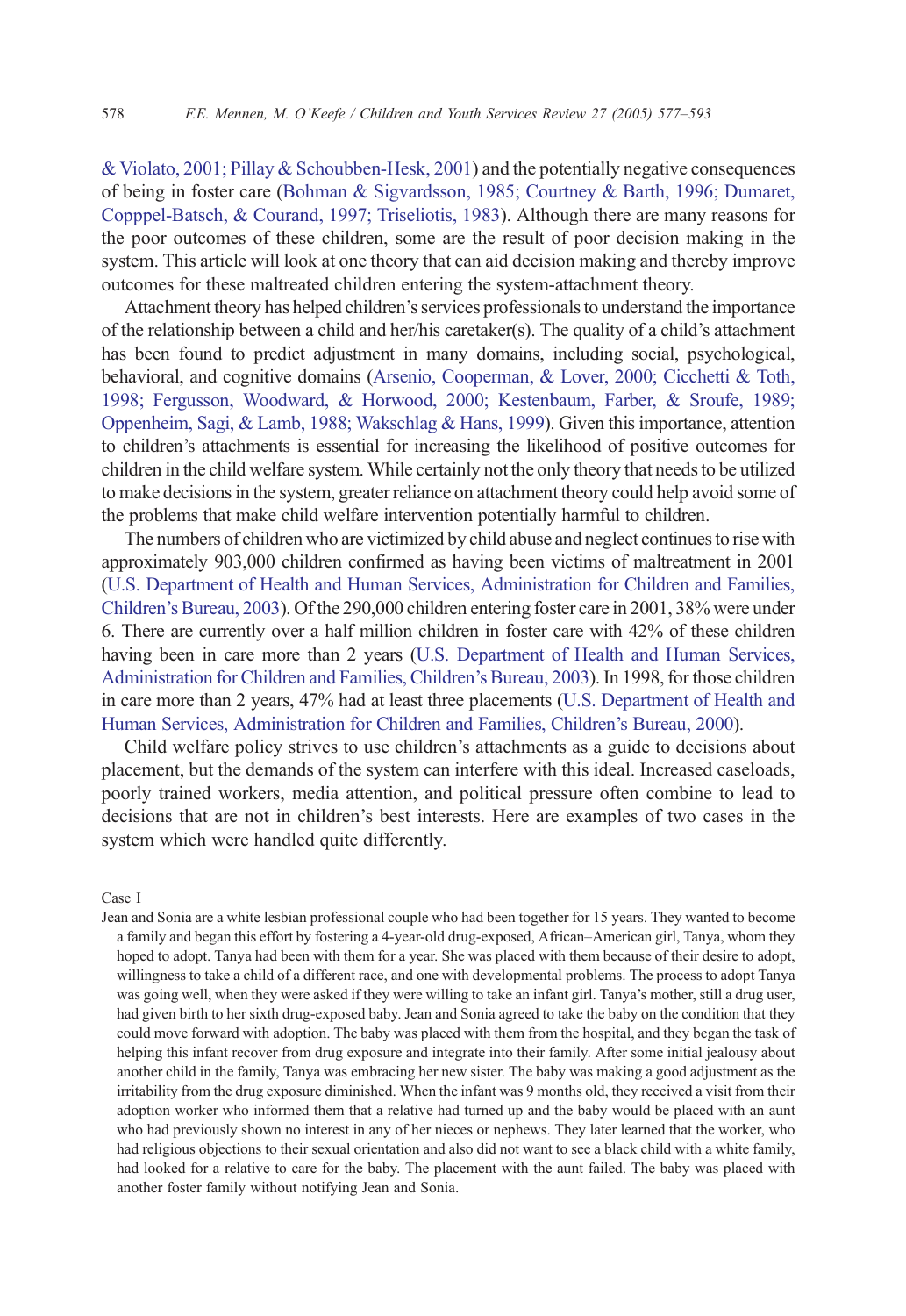& Violato, 2001; Pillay & Schoubben-Hesk, 2001) and the potentially negative consequences of being in foster care ([Bohman & Sigvardsson, 1985; Courtney & Barth, 1996; Dumaret,](#page--1-0) Copppel-Batsch, & Courand, 1997; Triseliotis, 1983). Although there are many reasons for the poor outcomes of these children, some are the result of poor decision making in the system. This article will look at one theory that can aid decision making and thereby improve outcomes for these maltreated children entering the system-attachment theory.

Attachment theory has helped children's services professionals to understand the importance of the relationship between a child and her/his caretaker(s). The quality of a child's attachment has been found to predict adjustment in many domains, including social, psychological, behavioral, and cognitive domains ([Arsenio, Cooperman, & Lover, 2000; Cicchetti & Toth,](#page--1-0) 1998; Fergusson, Woodward, & Horwood, 2000; Kestenbaum, Farber, & Sroufe, 1989; Oppenheim, Sagi, & Lamb, 1988; Wakschlag & Hans, 1999). Given this importance, attention to children's attachments is essential for increasing the likelihood of positive outcomes for children in the child welfare system. While certainly not the only theory that needs to be utilized to make decisions in the system, greater reliance on attachment theory could help avoid some of the problems that make child welfare intervention potentially harmful to children.

The numbers of children who are victimized by child abuse and neglect continues to rise with approximately 903,000 children confirmed as having been victims of maltreatment in 2001 ([U.S. Department of Health and Human Services, Administration for Children and Families,](#page--1-0) Children's Bureau, 2003). Of the 290,000 children entering foster care in 2001, 38% were under 6. There are currently over a half million children in foster care with 42% of these children having been in care more than 2 years ([U.S. Department of Health and Human Services,](#page--1-0) Administration for Children and Families, Children's Bureau, 2003). In 1998, for those children in care more than 2 years, 47% had at least three placements ([U.S. Department of Health and](#page--1-0) Human Services, Administration for Children and Families, Children's Bureau, 2000).

Child welfare policy strives to use children's attachments as a guide to decisions about placement, but the demands of the system can interfere with this ideal. Increased caseloads, poorly trained workers, media attention, and political pressure often combine to lead to decisions that are not in children's best interests. Here are examples of two cases in the system which were handled quite differently.

Case I

Jean and Sonia are a white lesbian professional couple who had been together for 15 years. They wanted to become a family and began this effort by fostering a 4-year-old drug-exposed, African–American girl, Tanya, whom they hoped to adopt. Tanya had been with them for a year. She was placed with them because of their desire to adopt, willingness to take a child of a different race, and one with developmental problems. The process to adopt Tanya was going well, when they were asked if they were willing to take an infant girl. Tanya's mother, still a drug user, had given birth to her sixth drug-exposed baby. Jean and Sonia agreed to take the baby on the condition that they could move forward with adoption. The baby was placed with them from the hospital, and they began the task of helping this infant recover from drug exposure and integrate into their family. After some initial jealousy about another child in the family, Tanya was embracing her new sister. The baby was making a good adjustment as the irritability from the drug exposure diminished. When the infant was 9 months old, they received a visit from their adoption worker who informed them that a relative had turned up and the baby would be placed with an aunt who had previously shown no interest in any of her nieces or nephews. They later learned that the worker, who had religious objections to their sexual orientation and also did not want to see a black child with a white family, had looked for a relative to care for the baby. The placement with the aunt failed. The baby was placed with another foster family without notifying Jean and Sonia.